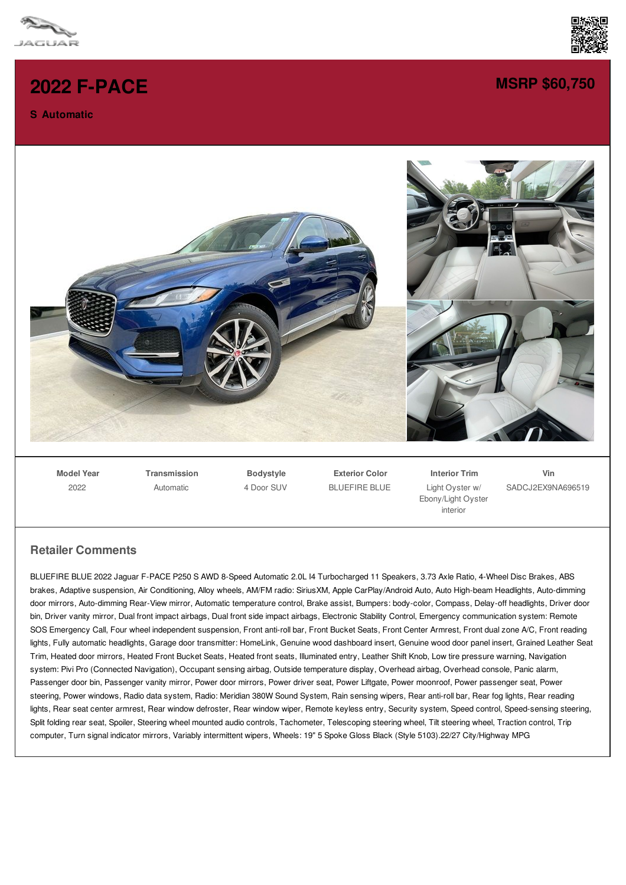

## **2022 [F-PACE](/new/pdf/)**

## **S Automatic**



## **MSRP [\\$60,750](/new/pdf/)**



**Model Year** 2022

**Transmission** Automatic

**Bodystyle** 4 Door SUV

**Exterior Color** BLUEFIRE BLUE

**Interior Trim** Light Oyster w/ Ebony/Light Oyster interior

**Vin** SADCJ2EX9NA696519

## **Retailer Comments**

BLUEFIRE BLUE 2022 Jaguar F-PACE P250 S AWD 8-Speed Automatic 2.0L I4 Turbocharged 11 Speakers, 3.73 Axle Ratio, 4-Wheel Disc Brakes, ABS brakes, Adaptive suspension, Air Conditioning, Alloy wheels, AM/FM radio: SiriusXM, Apple CarPlay/Android Auto, Auto High-beam Headlights, Auto-dimming door mirrors, Auto-dimming Rear-View mirror, Automatic temperature control, Brake assist, Bumpers: body-color, Compass, Delay-off headlights, Driver door bin, Driver vanity mirror, Dual front impact airbags, Dual front side impact airbags, Electronic Stability Control, Emergency communication system: Remote SOS Emergency Call, Four wheel independent suspension, Front anti-roll bar, Front Bucket Seats, Front Center Armrest, Front dual zone A/C, Front reading lights, Fully automatic headlights, Garage door transmitter: HomeLink, Genuine wood dashboard insert, Genuine wood door panel insert, Grained Leather Seat Trim, Heated door mirrors, Heated Front Bucket Seats, Heated front seats, Illuminated entry, Leather Shift Knob, Low tire pressure warning, Navigation system: Pivi Pro (Connected Navigation), Occupant sensing airbag, Outside temperature display, Overhead airbag, Overhead console, Panic alarm, Passenger door bin, Passenger vanity mirror, Power door mirrors, Power driver seat, Power Liftgate, Power moonroof, Power passenger seat, Power steering, Power windows, Radio data system, Radio: Meridian 380W Sound System, Rain sensing wipers, Rear anti-roll bar, Rear fog lights, Rear reading lights, Rear seat center armrest, Rear window defroster, Rear window wiper, Remote keyless entry, Security system, Speed control, Speed-sensing steering, Split folding rear seat, Spoiler, Steering wheel mounted audio controls, Tachometer, Telescoping steering wheel, Tilt steering wheel, Traction control, Trip computer, Turn signal indicator mirrors, Variably intermittent wipers, Wheels: 19" 5 Spoke Gloss Black (Style 5103).22/27 City/Highway MPG